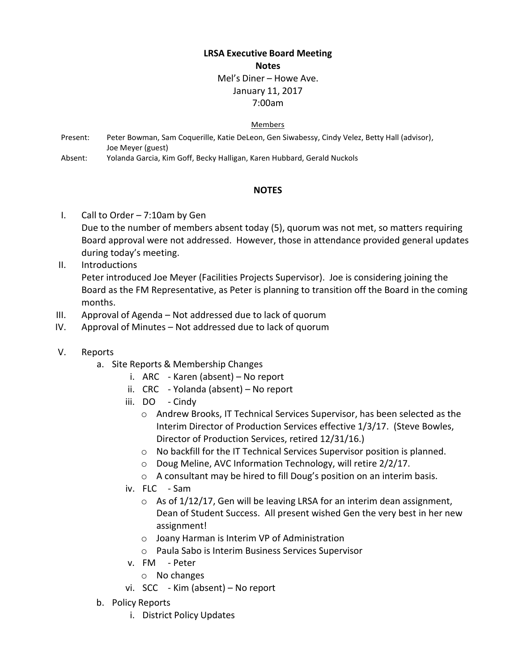# **LRSA Executive Board Meeting**

## **Notes**

#### Mel's Diner – Howe Ave. January 11, 2017

## 7:00am

#### Members

- Present: Peter Bowman, Sam Coquerille, Katie DeLeon, Gen Siwabessy, Cindy Velez, Betty Hall (advisor), Joe Meyer (guest)
- Absent: Yolanda Garcia, Kim Goff, Becky Halligan, Karen Hubbard, Gerald Nuckols

## **NOTES**

- I. Call to Order 7:10am by Gen Due to the number of members absent today (5), quorum was not met, so matters requiring Board approval were not addressed. However, those in attendance provided general updates during today's meeting.
- II. Introductions

Peter introduced Joe Meyer (Facilities Projects Supervisor). Joe is considering joining the Board as the FM Representative, as Peter is planning to transition off the Board in the coming months.

- III. Approval of Agenda Not addressed due to lack of quorum
- IV. Approval of Minutes Not addressed due to lack of quorum
- V. Reports
	- a. Site Reports & Membership Changes
		- i. ARC Karen (absent) No report
		- ii. CRC Yolanda (absent) No report
		- iii. DO Cindy
			- o Andrew Brooks, IT Technical Services Supervisor, has been selected as the Interim Director of Production Services effective 1/3/17. (Steve Bowles, Director of Production Services, retired 12/31/16.)
			- o No backfill for the IT Technical Services Supervisor position is planned.
			- o Doug Meline, AVC Information Technology, will retire 2/2/17.
			- o A consultant may be hired to fill Doug's position on an interim basis.
		- iv. FLC Sam
			- $\circ$  As of 1/12/17, Gen will be leaving LRSA for an interim dean assignment, Dean of Student Success. All present wished Gen the very best in her new assignment!
			- o Joany Harman is Interim VP of Administration
			- o Paula Sabo is Interim Business Services Supervisor
		- v. FM Peter
			- o No changes
		- vi. SCC Kim (absent) No report
	- b. Policy Reports
		- i. District Policy Updates